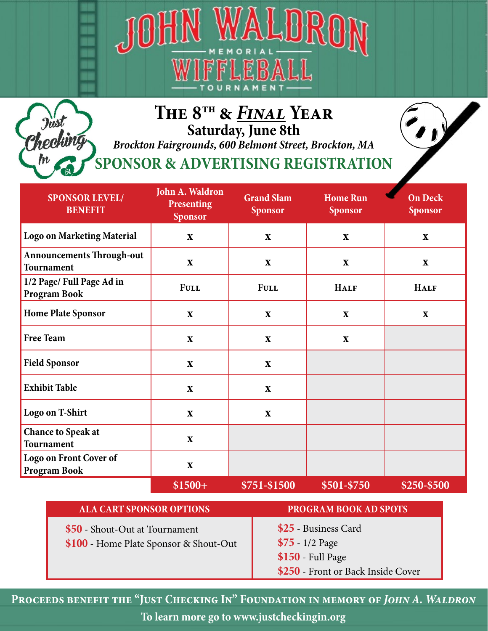



## **The 8th &** *Final* **Year Saturday, June 8th**

*Brockton Fairgrounds, 600 Belmont Street, Brockton, MA*

**SPONSOR & ADVERTISING REGISTRATION**

| <b>SPONSOR LEVEL/</b><br><b>BENEFIT</b>          | John A. Waldron<br><b>Presenting</b><br><b>Sponsor</b> | <b>Grand Slam</b><br><b>Sponsor</b> | <b>Home Run</b><br><b>Sponsor</b> | <b>On Deck</b><br><b>Sponsor</b> |
|--------------------------------------------------|--------------------------------------------------------|-------------------------------------|-----------------------------------|----------------------------------|
| <b>Logo on Marketing Material</b>                | $\mathbf X$                                            | $\mathbf X$                         | $\mathbf X$                       | $\mathbf{X}$                     |
| <b>Announcements Through-out</b><br>Tournament   | $\mathbf X$                                            | $\mathbf X$                         | $\mathbf X$                       | $\mathbf X$                      |
| 1/2 Page/ Full Page Ad in<br><b>Program Book</b> | <b>FULL</b>                                            | <b>FULL</b>                         | <b>HALF</b>                       | <b>HALF</b>                      |
| <b>Home Plate Sponsor</b>                        | $\mathbf X$                                            | $\mathbf{X}$                        | X                                 | $\mathbf{X}$                     |
| <b>Free Team</b>                                 | $\mathbf X$                                            | $\mathbf X$                         | $\mathbf X$                       |                                  |
| <b>Field Sponsor</b>                             | $\mathbf X$                                            | $\mathbf X$                         |                                   |                                  |
| <b>Exhibit Table</b>                             | $\mathbf X$                                            | $\mathbf X$                         |                                   |                                  |
| Logo on T-Shirt                                  | $\mathbf X$                                            | $\mathbf X$                         |                                   |                                  |
| <b>Chance to Speak at</b><br>Tournament          | $\mathbf X$                                            |                                     |                                   |                                  |
| Logo on Front Cover of<br><b>Program Book</b>    | $\mathbf X$                                            |                                     |                                   |                                  |
|                                                  | $$1500+$                                               | \$751-\$1500                        | \$501-\$750                       | \$250-\$500                      |

| <b>ALA CART SPONSOR OPTIONS</b>                                          | <b>PROGRAM BOOK AD SPOTS</b>                                  |
|--------------------------------------------------------------------------|---------------------------------------------------------------|
| \$50 - Shout-Out at Tournament<br>\$100 - Home Plate Sponsor & Shout-Out | \$25 - Business Card<br>$$75 - 1/2$ Page<br>\$150 - Full Page |
|                                                                          | \$250 - Front or Back Inside Cover                            |

PROCEEDS BENEFIT THE "JUST CHECKING IN" FOUNDATION IN MEMORY OF JOHN A. WALDRON **To learn more go to www.justcheckingin.org**